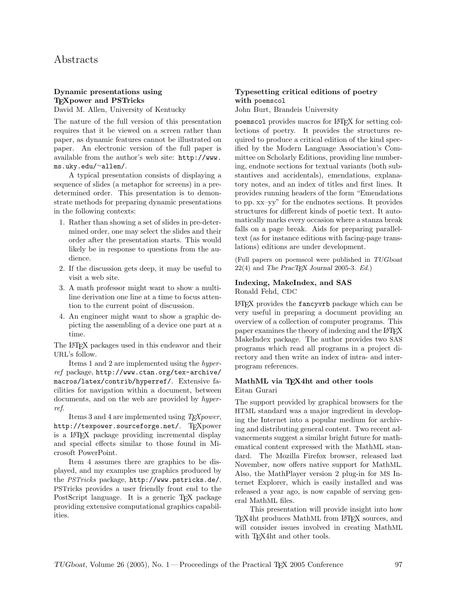# Abstracts

Dynamic presentations using TEXpower and PSTricks

David M. Allen, University of Kentucky

The nature of the full version of this presentation requires that it be viewed on a screen rather than paper, as dynamic features cannot be illustrated on paper. An electronic version of the full paper is available from the author's web site: http://www. ms.uky.edu/<sup>∼</sup>allen/.

A typical presentation consists of displaying a sequence of slides (a metaphor for screens) in a predetermined order. This presentation is to demonstrate methods for preparing dynamic presentations in the following contexts:

- 1. Rather than showing a set of slides in pre-determined order, one may select the slides and their order after the presentation starts. This would likely be in response to questions from the audience.
- 2. If the discussion gets deep, it may be useful to visit a web site.
- 3. A math professor might want to show a multiline derivation one line at a time to focus attention to the current point of discussion.
- 4. An engineer might want to show a graphic depicting the assembling of a device one part at a time.

The LATEX packages used in this endeavor and their URL's follow.

Items 1 and 2 are implemented using the hyperref package, http://www.ctan.org/tex-archive/ macros/latex/contrib/hyperref/. Extensive facilities for navigation within a document, between documents, and on the web are provided by hyperref.

Items 3 and 4 are implemented using  $T_F X power$ , http://texpower.sourceforge.net/. TFXpower is a LATEX package providing incremental display and special effects similar to those found in Microsoft PowerPoint.

Item 4 assumes there are graphics to be displayed, and my examples use graphics produced by the PSTricks package, http://www.pstricks.de/. PSTricks provides a user friendly front end to the PostScript language. It is a generic T<sub>EX</sub> package providing extensive computational graphics capabilities.

## Typesetting critical editions of poetry with poemscol

John Burt, Brandeis University

poemscol provides macros for LATEX for setting collections of poetry. It provides the structures required to produce a critical edition of the kind specified by the Modern Language Association's Committee on Scholarly Editions, providing line numbering, endnote sections for textual variants (both substantives and accidentals), emendations, explanatory notes, and an index of titles and first lines. It provides running headers of the form "Emendations to pp. xx–yy" for the endnotes sections. It provides structures for different kinds of poetic text. It automatically marks every occasion where a stanza break falls on a page break. Aids for preparing paralleltext (as for instance editions with facing-page translations) editions are under development.

(Full papers on poemscol were published in TUGboat  $22(4)$  and The PracT<sub>E</sub>X Journal 2005-3. Ed.)

#### Indexing, MakeIndex, and SAS Ronald Fehd, CDC

LATEX provides the fancyvrb package which can be very useful in preparing a document providing an overview of a collection of computer programs. This paper examines the theory of indexing and the LAT<sub>EX</sub> MakeIndex package. The author provides two SAS programs which read all programs in a project directory and then write an index of intra- and interprogram references.

### MathML via TEX4ht and other tools Eitan Gurari

The support provided by graphical browsers for the HTML standard was a major ingredient in developing the Internet into a popular medium for archiving and distributing general content. Two recent advancements suggest a similar bright future for mathematical content expressed with the MathML standard. The Mozilla Firefox browser, released last November, now offers native support for MathML. Also, the MathPlayer version 2 plug-in for MS Internet Explorer, which is easily installed and was released a year ago, is now capable of serving general MathML files.

This presentation will provide insight into how TEX4ht produces MathML from IATEX sources, and will consider issues involved in creating MathML with T<sub>E</sub>X<sub>4</sub>ht and other tools.